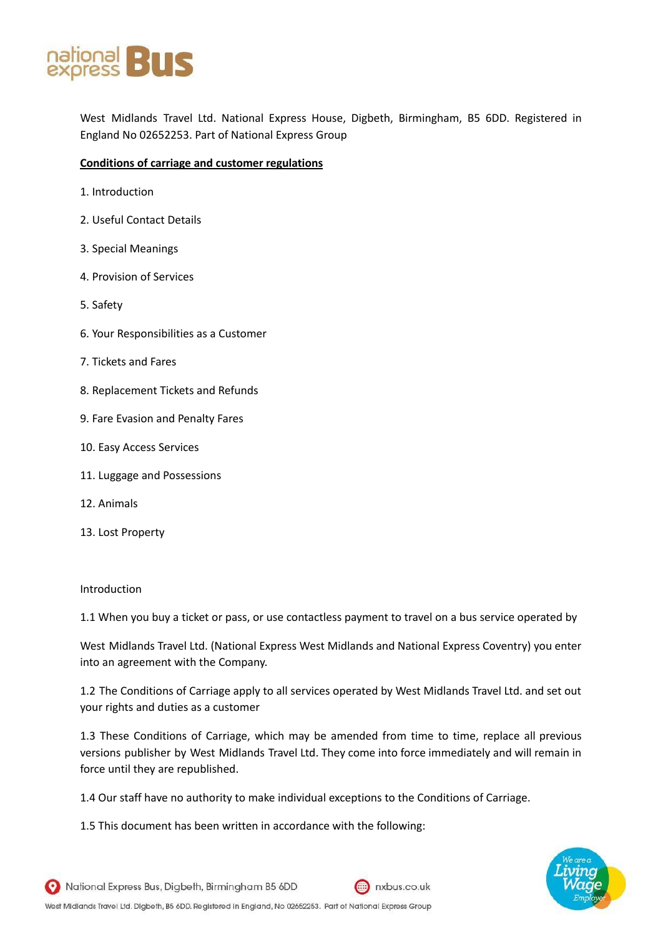

West Midlands Travel Ltd. National Express House, Digbeth, Birmingham, B5 6DD. Registered in England No 02652253. Part of National Express Group

## **Conditions of carriage and customer regulations**

- 1. Introduction
- 2. Useful Contact Details
- 3. Special Meanings
- 4. Provision of Services
- 5. Safety
- 6. Your Responsibilities as a Customer
- 7. Tickets and Fares
- 8. Replacement Tickets and Refunds
- 9. Fare Evasion and Penalty Fares
- 10. Easy Access Services
- 11. Luggage and Possessions
- 12. Animals
- 13. Lost Property

#### Introduction

1.1 When you buy a ticket or pass, or use contactless payment to travel on a bus service operated by

West Midlands Travel Ltd. (National Express West Midlands and National Express Coventry) you enter into an agreement with the Company.

1.2 The Conditions of Carriage apply to all services operated by West Midlands Travel Ltd. and set out your rights and duties as a customer

1.3 These Conditions of Carriage, which may be amended from time to time, replace all previous versions publisher by West Midlands Travel Ltd. They come into force immediately and will remain in force until they are republished.

1.4 Our staff have no authority to make individual exceptions to the Conditions of Carriage.

1.5 This document has been written in accordance with the following:

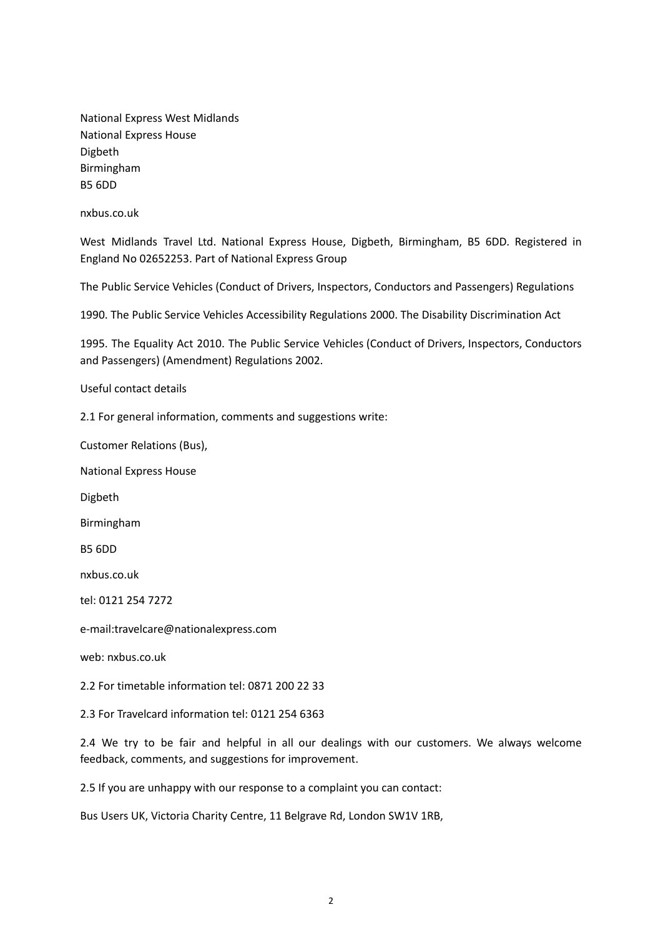National Express West Midlands National Express House Digbeth Birmingham B5 6DD

nxbus.co.uk

West Midlands Travel Ltd. National Express House, Digbeth, Birmingham, B5 6DD. Registered in England No 02652253. Part of National Express Group

The Public Service Vehicles (Conduct of Drivers, Inspectors, Conductors and Passengers) Regulations

1990. The Public Service Vehicles Accessibility Regulations 2000. The Disability Discrimination Act

1995. The Equality Act 2010. The Public Service Vehicles (Conduct of Drivers, Inspectors, Conductors and Passengers) (Amendment) Regulations 2002.

Useful contact details

2.1 For general information, comments and suggestions write:

Customer Relations (Bus),

National Express House

Digbeth

Birmingham

B5 6DD

nxbus.co.uk

tel: 0121 254 7272

e-mail:travelcare@nationalexpress.com

web: nxbus.co.uk

2.2 For timetable information tel: 0871 200 22 33

2.3 For Travelcard information tel: 0121 254 6363

2.4 We try to be fair and helpful in all our dealings with our customers. We always welcome feedback, comments, and suggestions for improvement.

2.5 If you are unhappy with our response to a complaint you can contact:

Bus Users UK, Victoria Charity Centre, 11 Belgrave Rd, London SW1V 1RB,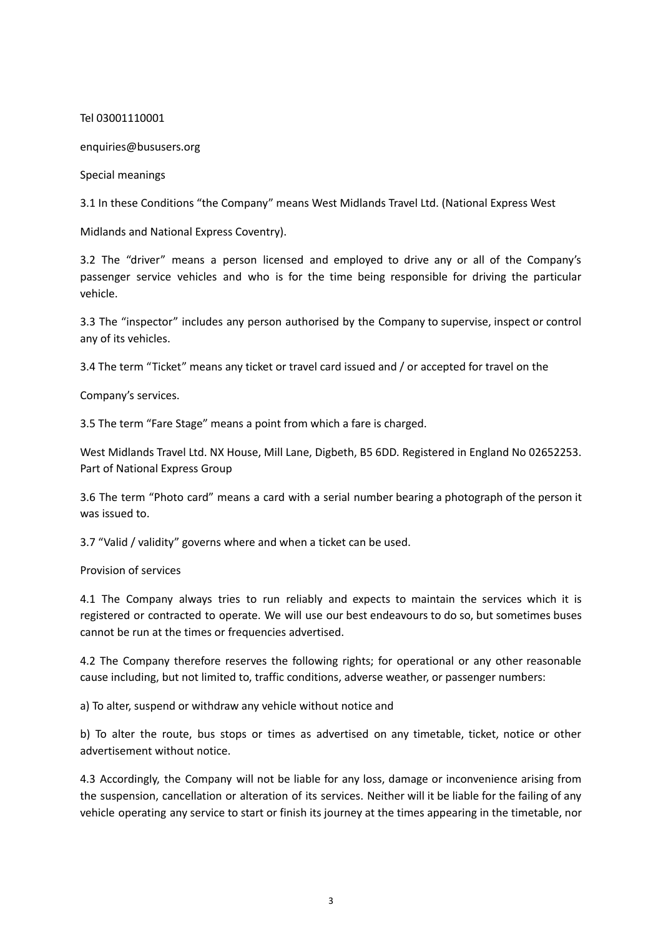Tel 03001110001

enquiries@bususers.org

Special meanings

3.1 In these Conditions "the Company" means West Midlands Travel Ltd. (National Express West

Midlands and National Express Coventry).

3.2 The "driver" means a person licensed and employed to drive any or all of the Company's passenger service vehicles and who is for the time being responsible for driving the particular vehicle.

3.3 The "inspector" includes any person authorised by the Company to supervise, inspect or control any of its vehicles.

3.4 The term "Ticket" means any ticket or travel card issued and / or accepted for travel on the

Company's services.

3.5 The term "Fare Stage" means a point from which a fare is charged.

West Midlands Travel Ltd. NX House, Mill Lane, Digbeth, B5 6DD. Registered in England No 02652253. Part of National Express Group

3.6 The term "Photo card" means a card with a serial number bearing a photograph of the person it was issued to.

3.7 "Valid / validity" governs where and when a ticket can be used.

Provision of services

4.1 The Company always tries to run reliably and expects to maintain the services which it is registered or contracted to operate. We will use our best endeavours to do so, but sometimes buses cannot be run at the times or frequencies advertised.

4.2 The Company therefore reserves the following rights; for operational or any other reasonable cause including, but not limited to, traffic conditions, adverse weather, or passenger numbers:

a) To alter, suspend or withdraw any vehicle without notice and

b) To alter the route, bus stops or times as advertised on any timetable, ticket, notice or other advertisement without notice.

4.3 Accordingly, the Company will not be liable for any loss, damage or inconvenience arising from the suspension, cancellation or alteration of its services. Neither will it be liable for the failing of any vehicle operating any service to start or finish its journey at the times appearing in the timetable, nor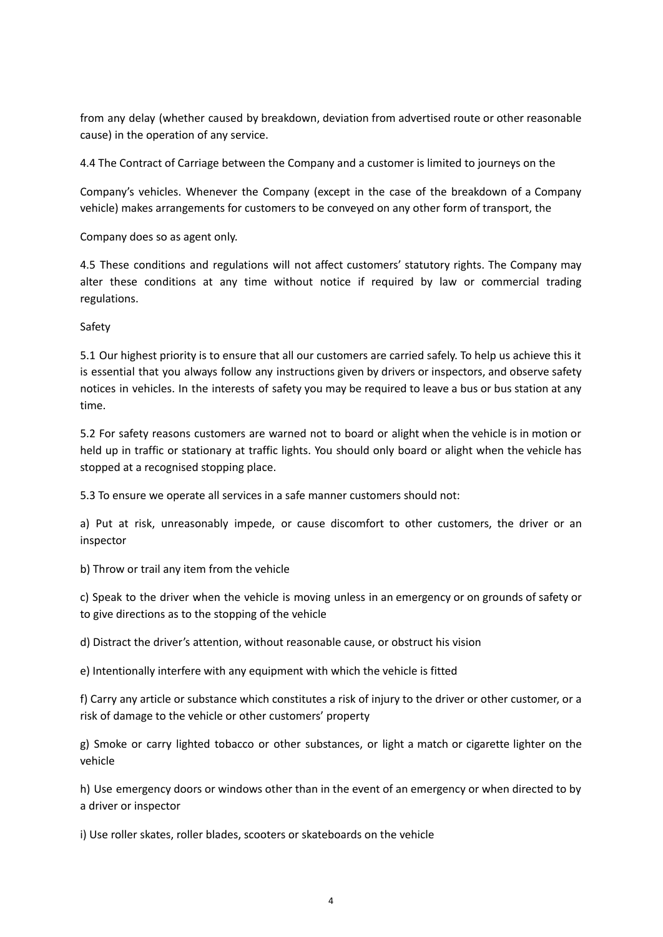from any delay (whether caused by breakdown, deviation from advertised route or other reasonable cause) in the operation of any service.

4.4 The Contract of Carriage between the Company and a customer is limited to journeys on the

Company's vehicles. Whenever the Company (except in the case of the breakdown of a Company vehicle) makes arrangements for customers to be conveyed on any other form of transport, the

Company does so as agent only.

4.5 These conditions and regulations will not affect customers' statutory rights. The Company may alter these conditions at any time without notice if required by law or commercial trading regulations.

Safety

5.1 Our highest priority is to ensure that all our customers are carried safely. To help us achieve this it is essential that you always follow any instructions given by drivers or inspectors, and observe safety notices in vehicles. In the interests of safety you may be required to leave a bus or bus station at any time.

5.2 For safety reasons customers are warned not to board or alight when the vehicle is in motion or held up in traffic or stationary at traffic lights. You should only board or alight when the vehicle has stopped at a recognised stopping place.

5.3 To ensure we operate all services in a safe manner customers should not:

a) Put at risk, unreasonably impede, or cause discomfort to other customers, the driver or an inspector

b) Throw or trail any item from the vehicle

c) Speak to the driver when the vehicle is moving unless in an emergency or on grounds of safety or to give directions as to the stopping of the vehicle

d) Distract the driver's attention, without reasonable cause, or obstruct his vision

e) Intentionally interfere with any equipment with which the vehicle is fitted

f) Carry any article or substance which constitutes a risk of injury to the driver or other customer, or a risk of damage to the vehicle or other customers' property

g) Smoke or carry lighted tobacco or other substances, or light a match or cigarette lighter on the vehicle

h) Use emergency doors or windows other than in the event of an emergency or when directed to by a driver or inspector

i) Use roller skates, roller blades, scooters or skateboards on the vehicle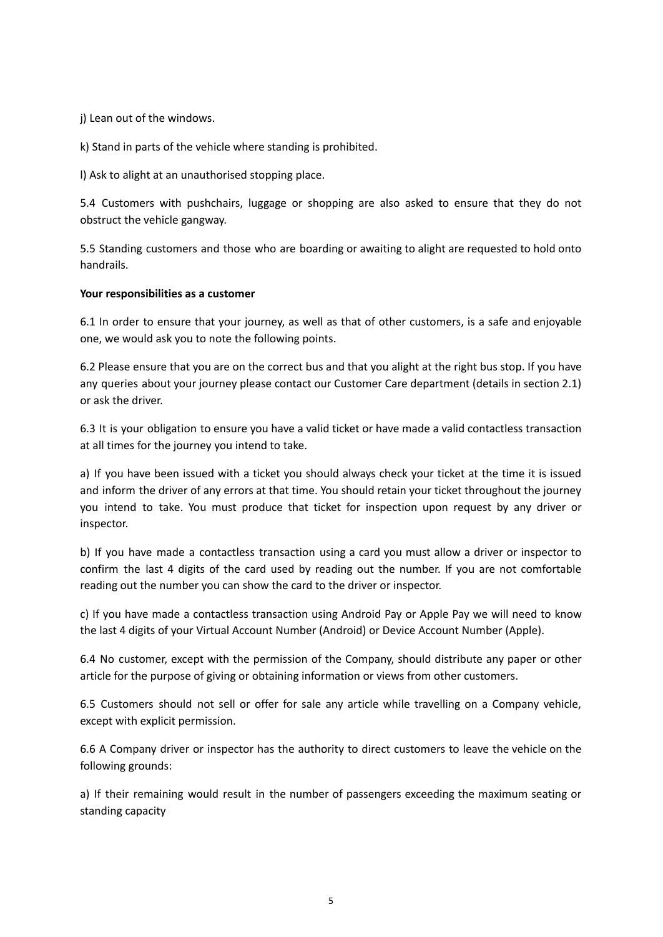j) Lean out of the windows.

k) Stand in parts of the vehicle where standing is prohibited.

l) Ask to alight at an unauthorised stopping place.

5.4 Customers with pushchairs, luggage or shopping are also asked to ensure that they do not obstruct the vehicle gangway.

5.5 Standing customers and those who are boarding or awaiting to alight are requested to hold onto handrails.

## **Your responsibilities as a customer**

6.1 In order to ensure that your journey, as well as that of other customers, is a safe and enjoyable one, we would ask you to note the following points.

6.2 Please ensure that you are on the correct bus and that you alight at the right bus stop. If you have any queries about your journey please contact our Customer Care department (details in section 2.1) or ask the driver.

6.3 It is your obligation to ensure you have a valid ticket or have made a valid contactless transaction at all times for the journey you intend to take.

a) If you have been issued with a ticket you should always check your ticket at the time it is issued and inform the driver of any errors at that time. You should retain your ticket throughout the journey you intend to take. You must produce that ticket for inspection upon request by any driver or inspector.

b) If you have made a contactless transaction using a card you must allow a driver or inspector to confirm the last 4 digits of the card used by reading out the number. If you are not comfortable reading out the number you can show the card to the driver or inspector.

c) If you have made a contactless transaction using Android Pay or Apple Pay we will need to know the last 4 digits of your Virtual Account Number (Android) or Device Account Number (Apple).

6.4 No customer, except with the permission of the Company, should distribute any paper or other article for the purpose of giving or obtaining information or views from other customers.

6.5 Customers should not sell or offer for sale any article while travelling on a Company vehicle, except with explicit permission.

6.6 A Company driver or inspector has the authority to direct customers to leave the vehicle on the following grounds:

a) If their remaining would result in the number of passengers exceeding the maximum seating or standing capacity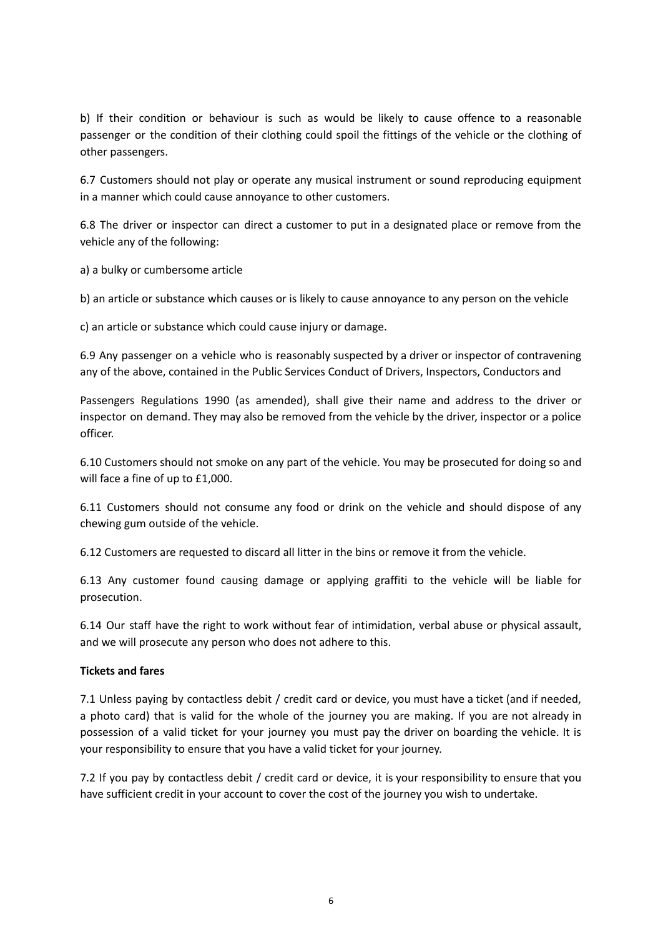b) If their condition or behaviour is such as would be likely to cause offence to a reasonable passenger or the condition of their clothing could spoil the fittings of the vehicle or the clothing of other passengers.

6.7 Customers should not play or operate any musical instrument or sound reproducing equipment in a manner which could cause annoyance to other customers.

6.8 The driver or inspector can direct a customer to put in a designated place or remove from the vehicle any of the following:

a) a bulky or cumbersome article

b) an article or substance which causes or is likely to cause annoyance to any person on the vehicle

c) an article or substance which could cause injury or damage.

6.9 Any passenger on a vehicle who is reasonably suspected by a driver or inspector of contravening any of the above, contained in the Public Services Conduct of Drivers, Inspectors, Conductors and

Passengers Regulations 1990 (as amended), shall give their name and address to the driver or inspector on demand. They may also be removed from the vehicle by the driver, inspector or a police officer.

6.10 Customers should not smoke on any part of the vehicle. You may be prosecuted for doing so and will face a fine of up to £1,000.

6.11 Customers should not consume any food or drink on the vehicle and should dispose of any chewing gum outside of the vehicle.

6.12 Customers are requested to discard all litter in the bins or remove it from the vehicle.

6.13 Any customer found causing damage or applying graffiti to the vehicle will be liable for prosecution.

6.14 Our staff have the right to work without fear of intimidation, verbal abuse or physical assault, and we will prosecute any person who does not adhere to this.

## **Tickets and fares**

7.1 Unless paying by contactless debit / credit card or device, you must have a ticket (and if needed, a photo card) that is valid for the whole of the journey you are making. If you are not already in possession of a valid ticket for your journey you must pay the driver on boarding the vehicle. It is your responsibility to ensure that you have a valid ticket for your journey.

7.2 If you pay by contactless debit / credit card or device, it is your responsibility to ensure that you have sufficient credit in your account to cover the cost of the journey you wish to undertake.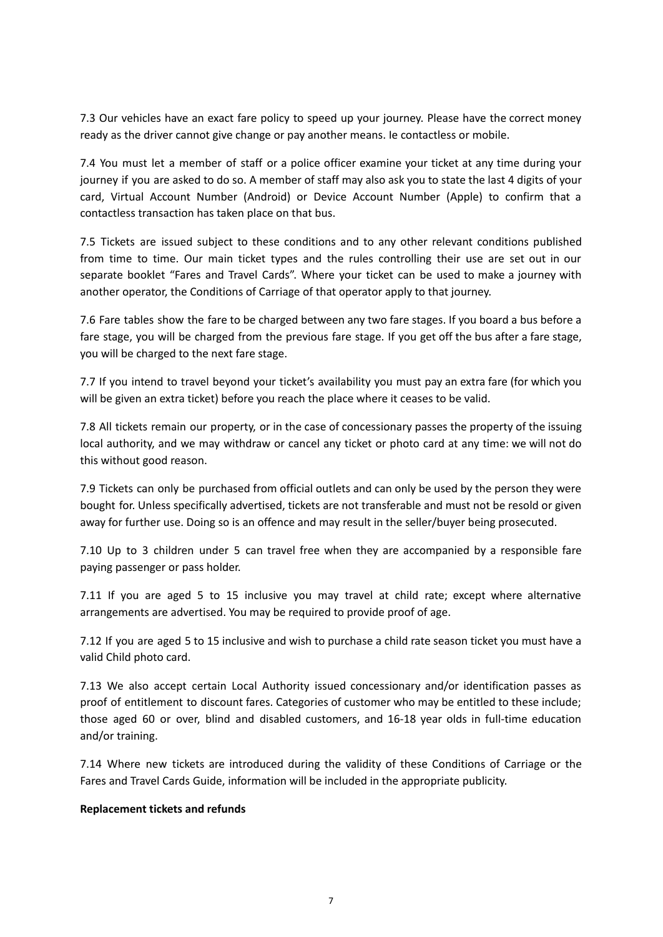7.3 Our vehicles have an exact fare policy to speed up your journey. Please have the correct money ready as the driver cannot give change or pay another means. Ie contactless or mobile.

7.4 You must let a member of staff or a police officer examine your ticket at any time during your journey if you are asked to do so. A member of staff may also ask you to state the last 4 digits of your card, Virtual Account Number (Android) or Device Account Number (Apple) to confirm that a contactless transaction has taken place on that bus.

7.5 Tickets are issued subject to these conditions and to any other relevant conditions published from time to time. Our main ticket types and the rules controlling their use are set out in our separate booklet "Fares and Travel Cards". Where your ticket can be used to make a journey with another operator, the Conditions of Carriage of that operator apply to that journey.

7.6 Fare tables show the fare to be charged between any two fare stages. If you board a bus before a fare stage, you will be charged from the previous fare stage. If you get off the bus after a fare stage, you will be charged to the next fare stage.

7.7 If you intend to travel beyond your ticket's availability you must pay an extra fare (for which you will be given an extra ticket) before you reach the place where it ceases to be valid.

7.8 All tickets remain our property, or in the case of concessionary passes the property of the issuing local authority, and we may withdraw or cancel any ticket or photo card at any time: we will not do this without good reason.

7.9 Tickets can only be purchased from official outlets and can only be used by the person they were bought for. Unless specifically advertised, tickets are not transferable and must not be resold or given away for further use. Doing so is an offence and may result in the seller/buyer being prosecuted.

7.10 Up to 3 children under 5 can travel free when they are accompanied by a responsible fare paying passenger or pass holder.

7.11 If you are aged 5 to 15 inclusive you may travel at child rate; except where alternative arrangements are advertised. You may be required to provide proof of age.

7.12 If you are aged 5 to 15 inclusive and wish to purchase a child rate season ticket you must have a valid Child photo card.

7.13 We also accept certain Local Authority issued concessionary and/or identification passes as proof of entitlement to discount fares. Categories of customer who may be entitled to these include; those aged 60 or over, blind and disabled customers, and 16-18 year olds in full-time education and/or training.

7.14 Where new tickets are introduced during the validity of these Conditions of Carriage or the Fares and Travel Cards Guide, information will be included in the appropriate publicity.

#### **Replacement tickets and refunds**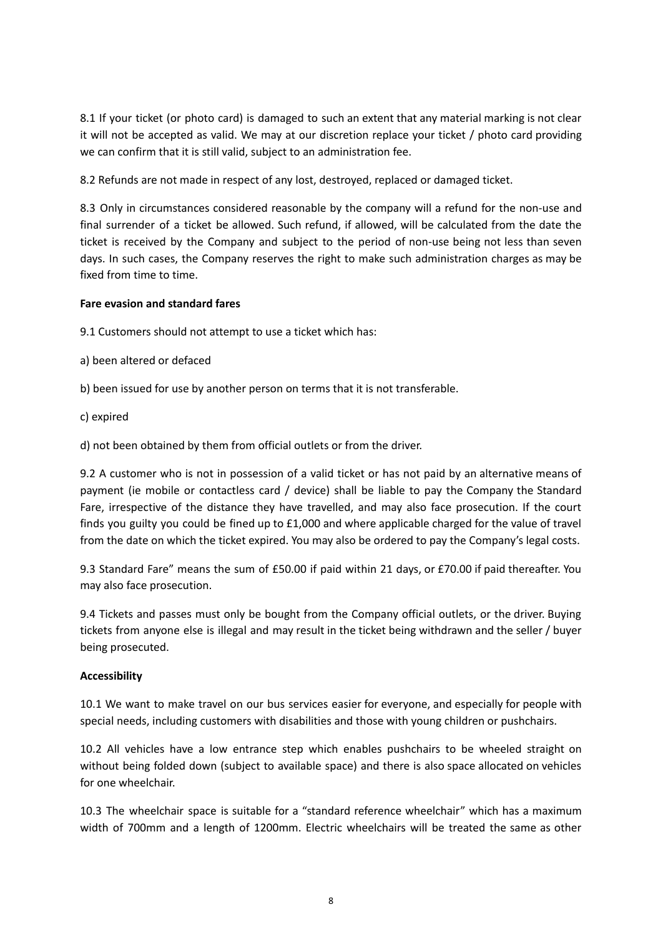8.1 If your ticket (or photo card) is damaged to such an extent that any material marking is not clear it will not be accepted as valid. We may at our discretion replace your ticket / photo card providing we can confirm that it is still valid, subject to an administration fee.

8.2 Refunds are not made in respect of any lost, destroyed, replaced or damaged ticket.

8.3 Only in circumstances considered reasonable by the company will a refund for the non-use and final surrender of a ticket be allowed. Such refund, if allowed, will be calculated from the date the ticket is received by the Company and subject to the period of non-use being not less than seven days. In such cases, the Company reserves the right to make such administration charges as may be fixed from time to time.

# **Fare evasion and standard fares**

9.1 Customers should not attempt to use a ticket which has:

- a) been altered or defaced
- b) been issued for use by another person on terms that it is not transferable.
- c) expired

d) not been obtained by them from official outlets or from the driver.

9.2 A customer who is not in possession of a valid ticket or has not paid by an alternative means of payment (ie mobile or contactless card / device) shall be liable to pay the Company the Standard Fare, irrespective of the distance they have travelled, and may also face prosecution. If the court finds you guilty you could be fined up to £1,000 and where applicable charged for the value of travel from the date on which the ticket expired. You may also be ordered to pay the Company's legal costs.

9.3 Standard Fare" means the sum of £50.00 if paid within 21 days, or £70.00 if paid thereafter. You may also face prosecution.

9.4 Tickets and passes must only be bought from the Company official outlets, or the driver. Buying tickets from anyone else is illegal and may result in the ticket being withdrawn and the seller / buyer being prosecuted.

## **Accessibility**

10.1 We want to make travel on our bus services easier for everyone, and especially for people with special needs, including customers with disabilities and those with young children or pushchairs.

10.2 All vehicles have a low entrance step which enables pushchairs to be wheeled straight on without being folded down (subject to available space) and there is also space allocated on vehicles for one wheelchair.

10.3 The wheelchair space is suitable for a "standard reference wheelchair" which has a maximum width of 700mm and a length of 1200mm. Electric wheelchairs will be treated the same as other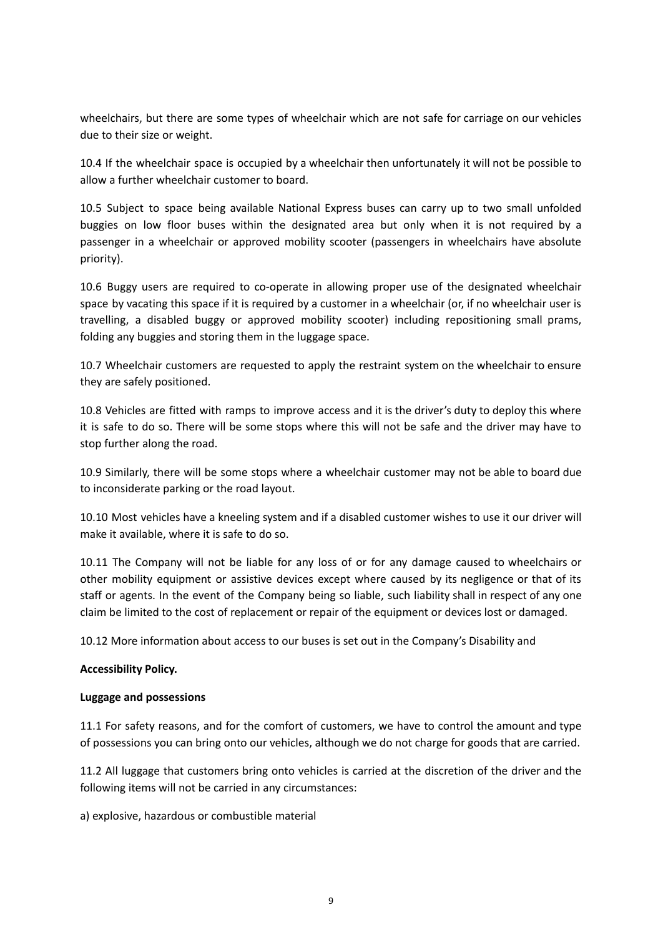wheelchairs, but there are some types of wheelchair which are not safe for carriage on our vehicles due to their size or weight.

10.4 If the wheelchair space is occupied by a wheelchair then unfortunately it will not be possible to allow a further wheelchair customer to board.

10.5 Subject to space being available National Express buses can carry up to two small unfolded buggies on low floor buses within the designated area but only when it is not required by a passenger in a wheelchair or approved mobility scooter (passengers in wheelchairs have absolute priority).

10.6 Buggy users are required to co-operate in allowing proper use of the designated wheelchair space by vacating this space if it is required by a customer in a wheelchair (or, if no wheelchair user is travelling, a disabled buggy or approved mobility scooter) including repositioning small prams, folding any buggies and storing them in the luggage space.

10.7 Wheelchair customers are requested to apply the restraint system on the wheelchair to ensure they are safely positioned.

10.8 Vehicles are fitted with ramps to improve access and it is the driver's duty to deploy this where it is safe to do so. There will be some stops where this will not be safe and the driver may have to stop further along the road.

10.9 Similarly, there will be some stops where a wheelchair customer may not be able to board due to inconsiderate parking or the road layout.

10.10 Most vehicles have a kneeling system and if a disabled customer wishes to use it our driver will make it available, where it is safe to do so.

10.11 The Company will not be liable for any loss of or for any damage caused to wheelchairs or other mobility equipment or assistive devices except where caused by its negligence or that of its staff or agents. In the event of the Company being so liable, such liability shall in respect of any one claim be limited to the cost of replacement or repair of the equipment or devices lost or damaged.

10.12 More information about access to our buses is set out in the Company's Disability and

## **Accessibility Policy.**

## **Luggage and possessions**

11.1 For safety reasons, and for the comfort of customers, we have to control the amount and type of possessions you can bring onto our vehicles, although we do not charge for goods that are carried.

11.2 All luggage that customers bring onto vehicles is carried at the discretion of the driver and the following items will not be carried in any circumstances:

a) explosive, hazardous or combustible material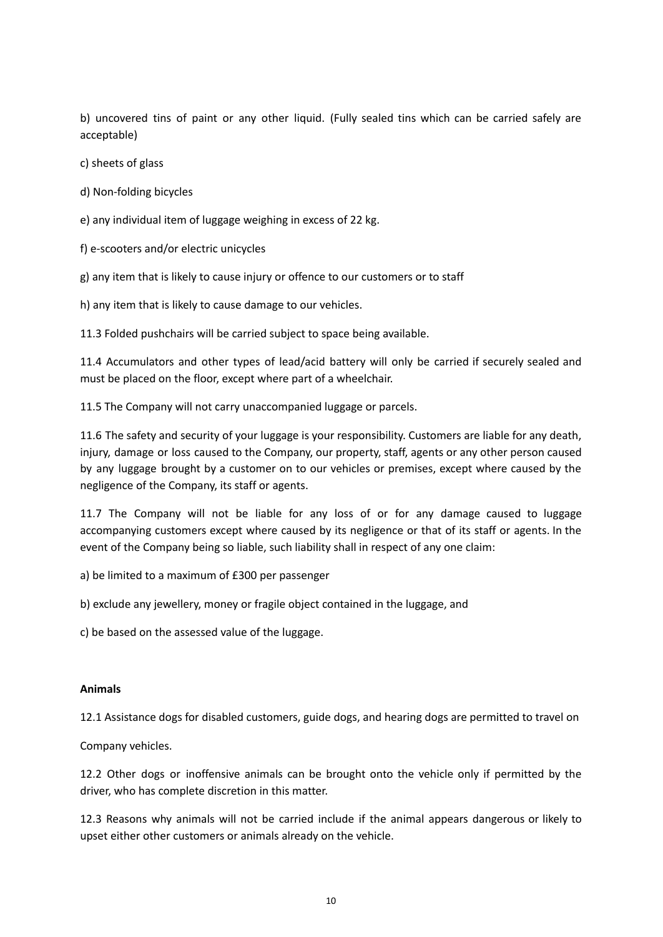b) uncovered tins of paint or any other liquid. (Fully sealed tins which can be carried safely are acceptable)

c) sheets of glass

- d) Non-folding bicycles
- e) any individual item of luggage weighing in excess of 22 kg.
- f) e-scooters and/or electric unicycles

g) any item that is likely to cause injury or offence to our customers or to staff

h) any item that is likely to cause damage to our vehicles.

11.3 Folded pushchairs will be carried subject to space being available.

11.4 Accumulators and other types of lead/acid battery will only be carried if securely sealed and must be placed on the floor, except where part of a wheelchair.

11.5 The Company will not carry unaccompanied luggage or parcels.

11.6 The safety and security of your luggage is your responsibility. Customers are liable for any death, injury, damage or loss caused to the Company, our property, staff, agents or any other person caused by any luggage brought by a customer on to our vehicles or premises, except where caused by the negligence of the Company, its staff or agents.

11.7 The Company will not be liable for any loss of or for any damage caused to luggage accompanying customers except where caused by its negligence or that of its staff or agents. In the event of the Company being so liable, such liability shall in respect of any one claim:

- a) be limited to a maximum of £300 per passenger
- b) exclude any jewellery, money or fragile object contained in the luggage, and

c) be based on the assessed value of the luggage.

#### **Animals**

12.1 Assistance dogs for disabled customers, guide dogs, and hearing dogs are permitted to travel on

Company vehicles.

12.2 Other dogs or inoffensive animals can be brought onto the vehicle only if permitted by the driver, who has complete discretion in this matter.

12.3 Reasons why animals will not be carried include if the animal appears dangerous or likely to upset either other customers or animals already on the vehicle.